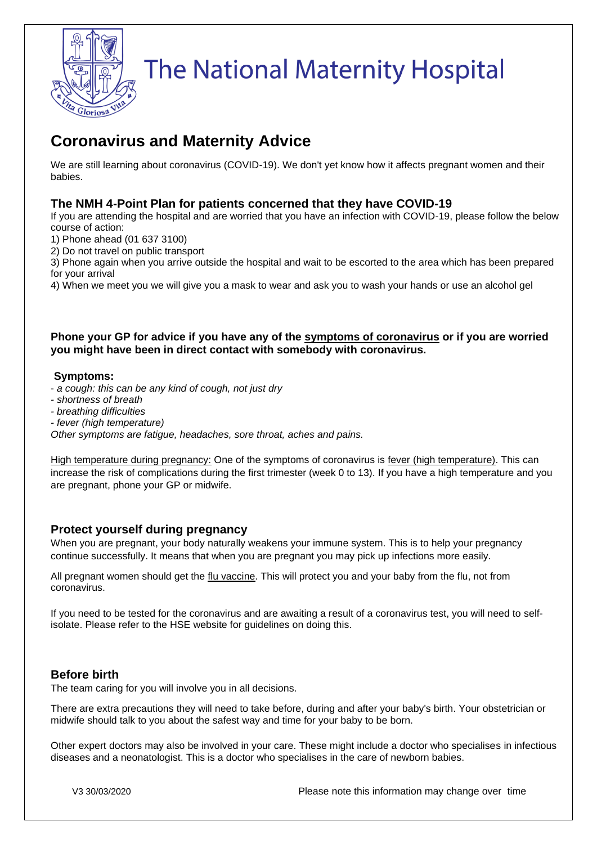

# **The National Maternity Hospital**

# **Coronavirus and Maternity Advice**

We are still learning about coronavirus (COVID-19). We don't yet know how it affects pregnant women and their babies.

## **The NMH 4-Point Plan for patients concerned that they have COVID-19**

If you are attending the hospital and are worried that you have an infection with COVID-19, please follow the below course of action:

- 1) Phone ahead (01 637 3100)
- 2) Do not travel on public transport

3) Phone again when you arrive outside the hospital and wait to be escorted to the area which has been prepared for your arrival

4) When we meet you we will give you a mask to wear and ask you to wash your hands or use an alcohol gel

#### **Phone your GP for advice if you have any of the [symptoms of coronavirus](https://www2.hse.ie/conditions/coronavirus/coronavirus.html#Symptoms) or if you are worried you might have been in direct contact with somebody with coronavirus.**

#### **Symptoms:**

- *[a cough:](https://www2.hse.ie/conditions/cough.html) this can be any kind of cough, not just dry*
- *- shortness of breath*
- *- breathing difficulties*
- *- [fever \(high temperature\)](https://www2.hse.ie/conditions/high-temperature.html)*

*Other symptoms are fatigue, headaches, sore throat, aches and pains.*

High temperature during pregnancy: One of the symptoms of coronavirus is [fever \(high temperature\).](https://www2.hse.ie/conditions/high-temperature.html) This can increase the risk of complications during the first trimester (week 0 to 13). If you have a high temperature and you are pregnant, phone your GP or midwife.

#### **Protect yourself during pregnancy**

When you are pregnant, your body naturally weakens your immune system. This is to help your pregnancy continue successfully. It means that when you are pregnant you may pick up infections more easily.

All pregnant women should get the [flu vaccine.](https://www.hse.ie/eng/health/immunisation/pubinfo/flu-vaccination/flu-vaccine-pregnancy/) This will protect you and your baby from the flu, not from coronavirus.

If you need to be tested for the coronavirus and are awaiting a result of a coronavirus test, you will need to selfisolate. Please refer to the HSE website for guidelines on doing this.

#### **Before birth**

The team caring for you will involve you in all decisions.

There are extra precautions they will need to take before, during and after your baby's birth. Your obstetrician or midwife should talk to you about the safest way and time for your baby to be born.

Other expert doctors may also be involved in your care. These might include a doctor who specialises in infectious diseases and a neonatologist. This is a doctor who specialises in the care of newborn babies.

V3 30/03/2020 Please note this information may change over time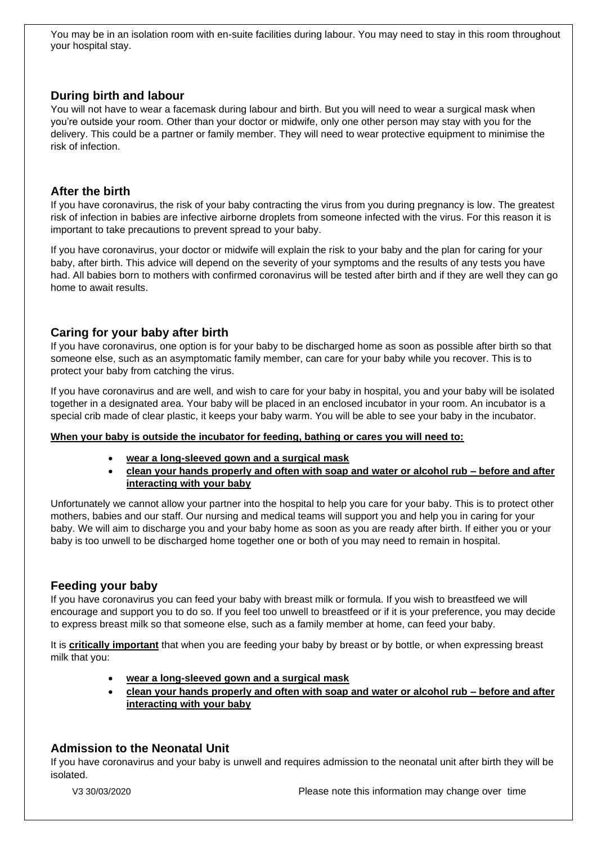You may be in an isolation room with en-suite facilities during labour. You may need to stay in this room throughout your hospital stay.

# **During birth and labour**

You will not have to wear a facemask during labour and birth. But you will need to wear a surgical mask when you're outside your room. Other than your doctor or midwife, only one other person may stay with you for the delivery. This could be a partner or family member. They will need to wear protective equipment to minimise the risk of infection.

#### **After the birth**

If you have coronavirus, the risk of your baby contracting the virus from you during pregnancy is low. The greatest risk of infection in babies are infective airborne droplets from someone infected with the virus. For this reason it is important to take precautions to prevent spread to your baby.

If you have coronavirus, your doctor or midwife will explain the risk to your baby and the plan for caring for your baby, after birth. This advice will depend on the severity of your symptoms and the results of any tests you have had. All babies born to mothers with confirmed coronavirus will be tested after birth and if they are well they can go home to await results.

# **Caring for your baby after birth**

If you have coronavirus, one option is for your baby to be discharged home as soon as possible after birth so that someone else, such as an asymptomatic family member, can care for your baby while you recover. This is to protect your baby from catching the virus.

If you have coronavirus and are well, and wish to care for your baby in hospital, you and your baby will be isolated together in a designated area. Your baby will be placed in an enclosed incubator in your room. An incubator is a special crib made of clear plastic, it keeps your baby warm. You will be able to see your baby in the incubator.

#### **When your baby is outside the incubator for feeding, bathing or cares you will need to:**

- **wear a long-sleeved gown and a surgical mask**
- **clean your hands properly and often with soap and water or alcohol rub – before and after interacting with your baby**

Unfortunately we cannot allow your partner into the hospital to help you care for your baby. This is to protect other mothers, babies and our staff. Our nursing and medical teams will support you and help you in caring for your baby. We will aim to discharge you and your baby home as soon as you are ready after birth. If either you or your baby is too unwell to be discharged home together one or both of you may need to remain in hospital.

#### **Feeding your baby**

If you have coronavirus you can feed your baby with breast milk or formula. If you wish to breastfeed we will encourage and support you to do so. If you feel too unwell to breastfeed or if it is your preference, you may decide to express breast milk so that someone else, such as a family member at home, can feed your baby.

It is **critically important** that when you are feeding your baby by breast or by bottle, or when expressing breast milk that you:

- **wear a long-sleeved gown and a surgical mask**
- **clean your hands properly and often with soap and water or alcohol rub – before and after interacting with your baby**

# **Admission to the Neonatal Unit**

If you have coronavirus and your baby is unwell and requires admission to the neonatal unit after birth they will be isolated.